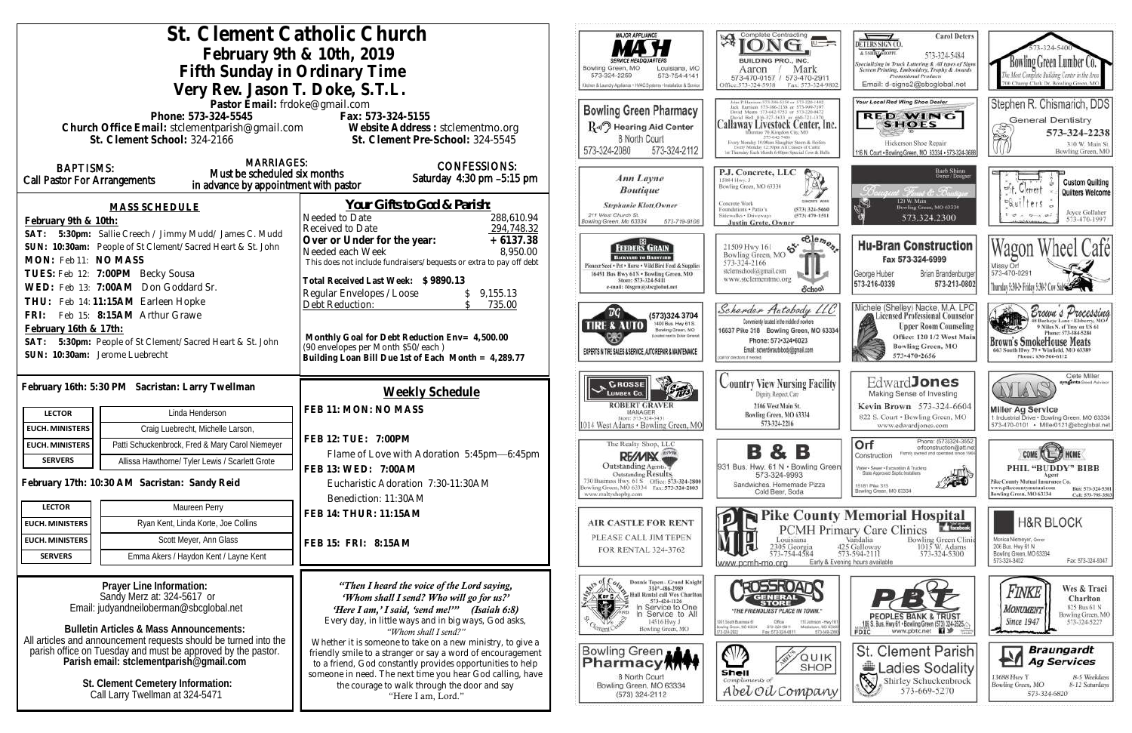|                                                                                                         | St. Clement Catholic Church                                                                                               | <b>MAJOR APPLIANCE</b>                                                                                           | Complete Contracting<br>孑                                                                                              |
|---------------------------------------------------------------------------------------------------------|---------------------------------------------------------------------------------------------------------------------------|------------------------------------------------------------------------------------------------------------------|------------------------------------------------------------------------------------------------------------------------|
| February 9th & 10th, 2019                                                                               |                                                                                                                           |                                                                                                                  | BUILDING PRO., INC.                                                                                                    |
| Fifth Sunday in Ordinary Time                                                                           |                                                                                                                           | Bowling Green, MO<br>Louisiana, MO<br>573-324-2259<br>573-754-4141                                               | Mark<br>Aaron<br>573-470-0157 / 573-470-2911                                                                           |
| Very Rev. Jason T. Doke, S.T.L.                                                                         |                                                                                                                           | Kitchen & Laundry Appliance + HVAC Systems + Installation & Service                                              | Office:573-324-5958<br>Fax: 573-324-9                                                                                  |
| Pastor Email: frdoke@gmail.com                                                                          |                                                                                                                           | <b>Bowling Green Pharmacy</b>                                                                                    | Jack Harrison 573-386-2138 or 573-998-710<br>David Means 573-642-9753 or 573-220-047                                   |
| Phone: 573-324-5545<br>Church Office Email: stclementparish@gmail.com Website Address : stclementmo.org | Fax: 573-324-5155                                                                                                         | R-II <sup>7</sup> Hearing Aid Center                                                                             | Callaway Livestock Center, In                                                                                          |
| St. Clement School: 324-2166                                                                            | St. Clement Pre-School: 324-5545                                                                                          | 8 North Court                                                                                                    | liberatato 70; Kingdon City, MO<br>573-643-7486<br>Every Monday 10:00ain Slaughor Steers & Heifen                      |
|                                                                                                         |                                                                                                                           | 573-324-2080<br>573-324-2112                                                                                     | Every Monday 12:30pm All Classes of Cattle<br>1 = Thunday Each Munth 6 00pm Special Cow & B                            |
| <b>MARRIAGES:</b><br><b>BAPTISMS:</b><br>Must be scheduled six months                                   | <b>CONFESSIONS:</b>                                                                                                       | Ann Layne                                                                                                        | P.J. Concrete, LLC                                                                                                     |
| <b>Call Pastor For Arrangements</b><br>in advance by appointment with pastor                            | Saturday 4:30 pm -5:15 pm                                                                                                 | <b>Boutique</b>                                                                                                  | 15084 Hwy. J<br>Bowling Green, MO 63334                                                                                |
| <b>MASS SCHEDULE</b>                                                                                    | <u>Your Gifts to God &amp; Parish:</u>                                                                                    | <b>Stephanie Klott</b> , Owner                                                                                   | Concrete Work<br>Foundations . Patio's<br>(573) 324-5666                                                               |
| February 9th & 10th:                                                                                    | Needed to Date<br>288,610.94                                                                                              | 211 West Church St.<br>Bowling Green, Mo 63334<br>573-719-9108                                                   | Sidewalks . Driveways<br>$(573)$ 470-1511<br><b>Justin Grote, Owner</b>                                                |
| 5:30pm: Sallie Creech / Jimmy Mudd/ James C. Mudd<br>SAT:                                               | Received to Date<br>294,748.32<br>Over or Under for the year:<br>$+6137.38$                                               |                                                                                                                  | $\epsilon$ elem                                                                                                        |
| SUN: 10:30am: People of St Clement/Sacred Heart & St. John                                              | 8,950.00<br>Needed each Week                                                                                              | FEEDERS GRAIN<br>BACKYARD TO BARNYARD                                                                            | $\mathfrak{S}^{\kappa}$<br>21509 Hwy 161<br>Bowling Green, MO                                                          |
| MON: Feb 11: NO MASS<br>TUES: Feb 12: 7:00PM Becky Sousa                                                | This does not include fundraisers/bequests or extra to pay off debt                                                       | Pioneer Seed . Pet . Horse . Wild Bird Feed & Supplies<br>16491 Bus Hwy 61N . Bowling Green, MO                  | 573-324-2166<br>stelemschool@gmail.com                                                                                 |
| WED: Feb 13: 7:00AM Don Goddard Sr.                                                                     | Total Received Last Week: \$9890.13                                                                                       | Store: 573-324-5411<br>e-mail: fdsgrn@sbcglobal.net                                                              | www.stclementmo.org<br>School                                                                                          |
| THU: Feb 14:11:15AM Earleen Hopke                                                                       | Regular Envelopes / Loose<br>9,155.13<br>Debt Reduction:<br>735.00                                                        |                                                                                                                  |                                                                                                                        |
| Feb 15: 8:15AM Arthur Grawe<br>FRI:                                                                     |                                                                                                                           | (573)324 3704<br>1400 Bus. Hwy 61 S.                                                                             | Scherder Autobody LL<br>Conveniently located in the middle of nowhere                                                  |
| February 16th & 17th:                                                                                   | Monthly Goal for Debt Reduction Env= 4,500.00                                                                             | IRE & AUTO<br>Bowling Green, MO<br>Located next to Dollar General                                                | 16637 Pike 318 Bowling Green, MO 63<br>Phone: 573-324-6023                                                             |
| 5:30pm: People of St Clement/Sacred Heart & St. John<br>SAT:<br>SUN: 10:30am: Jerome Luebrecht          | (90 envelopes per Month \$50/each)                                                                                        | EXPERTS IN TIRE SALES & SERVICE, AUTO REPAIR & MAINTENANCE                                                       | Email: scherderautobody@gmail.com<br>call for directorys if needed a                                                   |
|                                                                                                         | Building Loan Bill Due 1st of Each Month = 4,289.77                                                                       |                                                                                                                  |                                                                                                                        |
| February 16th: 5:30 PM Sacristan: Larry Twellman                                                        |                                                                                                                           | <b>CROSSE</b>                                                                                                    | <b>Country View Nursing Facili</b>                                                                                     |
|                                                                                                         | Weekly Schedule                                                                                                           | <b>LUMBER CO.</b><br><b>ROBERT GRAVER</b>                                                                        | Digitity, Respect, Care<br>2106 West Main St.                                                                          |
| Linda Henderson<br><b>LECTOR</b>                                                                        | FEB 11: MON: NO MASS                                                                                                      | MANAGER<br>Store: 573-324-5431                                                                                   | Bowling Green, MO 63334<br>573-324-2216                                                                                |
| <b>EUCH. MINISTERS</b><br>Craig Luebrecht, Michelle Larson,                                             | FEB 12: TUE: 7:00PM                                                                                                       | 014 West Adams · Bowling Green, MO                                                                               |                                                                                                                        |
| Patti Schuckenbrock, Fred & Mary Carol Niemeyer<br><b>EUCH. MINISTERS</b>                               | Flame of Love with Adoration 5:45pm-6:45pm                                                                                | The Realty Shop, LLC<br>RE/MIX                                                                                   |                                                                                                                        |
| <b>SERVERS</b><br>Allissa Hawthorne/ Tyler Lewis / Scarlett Grote                                       | FEB 13: WED: 7:00AM                                                                                                       | Outstanding Agents.                                                                                              | 931 Bus. Hwy. 61 N . Bowling Gr                                                                                        |
| February 17th: 10:30 AM Sacristan: Sandy Reid                                                           | Eucharistic Adoration 7:30-11:30AM                                                                                        | Outstanding Results.<br>730 Business Hwy. 61 S Office: 573-324-2800<br>Bowling Green, MO 63334 Fax: 573-324-2803 | 573-324-9993<br>Sandwiches, Homemade Pizza                                                                             |
|                                                                                                         | Benediction: 11:30AM                                                                                                      | www.realtyshopbg.com                                                                                             | Cold Beer, Soda                                                                                                        |
| Maureen Perry<br><b>LECTOR</b>                                                                          | FEB 14: THUR: 11:15AM                                                                                                     | <b>AIR CASTLE FOR RENT</b>                                                                                       | <b>Pike Coun</b>                                                                                                       |
| Ryan Kent, Linda Korte, Joe Collins<br><b>EUCH. MINISTERS</b>                                           |                                                                                                                           | PLEASE CALL JIM TEPEN                                                                                            | PCMH PI                                                                                                                |
| Scott Meyer, Ann Glass<br><b>EUCH. MINISTERS</b>                                                        | FEB 15: FRI: 8:15AM                                                                                                       | FOR RENTAL 324-3762                                                                                              | Louisiana<br>2305 Georgia<br>573-754-4584                                                                              |
| Emma Akers / Haydon Kent / Layne Kent<br><b>SERVERS</b>                                                 |                                                                                                                           |                                                                                                                  | Early &<br>www.pcmh-mo.org                                                                                             |
| Prayer Line Information:                                                                                | "Then I heard the voice of the Lord saying,                                                                               | Donnie Tepen - Grand Knight<br>314^-486-2989                                                                     | <b>ROSSROAN?</b>                                                                                                       |
| Sandy Merz at: 324-5617 or                                                                              | 'Whom shall I send? Who will go for us?'                                                                                  | KIE<br>Hall Rental call Wes Chariton                                                                             |                                                                                                                        |
| Email: judyandneiloberman@sbcglobal.net                                                                 | 'Here I am,' I said, 'send me!'" (Isaiah 6:8)                                                                             | 573-424-1126<br>In Service to One<br>In Service to All                                                           | <i>"THE FRIENDLIEST PLACE IN TOWN.</i>                                                                                 |
| <b>Bulletin Articles &amp; Mass Announcements:</b>                                                      | Every day, in little ways and in big ways, God asks,<br>"Whom shall I send?"                                              | 14516 Hwy J<br>Bowling Green, MO                                                                                 | 1001, South Buseness 61<br>Bowling Green, MO 83334<br>373-326-6811<br>Mittfelswr, MO<br>Fax: 573-324-6811<br>3-334-292 |
| All articles and announcement requests should be turned into the                                        | Whether it is someone to take on a new ministry, to give a                                                                | Bowling Green                                                                                                    |                                                                                                                        |
| parish office on Tuesday and must be approved by the pastor.<br>Parish email: stclementparish@gmail.com | friendly smile to a stranger or say a word of encouragement<br>to a friend, God constantly provides opportunities to help | Pharmacy MY                                                                                                      | QUIP<br><b>SHOF</b>                                                                                                    |
| St. Clement Cemetery Information:                                                                       | someone in need. The next time you hear God calling, have<br>the courage to walk through the door and say                 | 8 North Court<br>Bowling Green, MO 63334                                                                         | Shell<br>Compliments of                                                                                                |
| Call Larry Twellman at 324-5471                                                                         | "Here I am, Lord."                                                                                                        | (573) 324-2112                                                                                                   | Abel Oil Compan                                                                                                        |
|                                                                                                         |                                                                                                                           |                                                                                                                  |                                                                                                                        |
|                                                                                                         |                                                                                                                           |                                                                                                                  |                                                                                                                        |